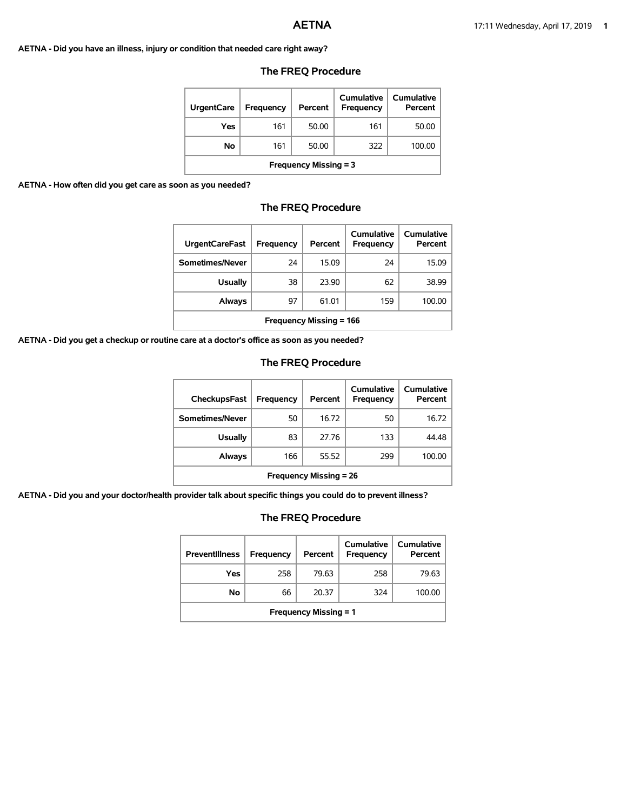#### **AETNA - Did you have an illness, injury or condition that needed care right away?**

| <b>UrgentCare</b>            | <b>Frequency</b> | Percent | Cumulative<br>Frequency | Cumulative<br>Percent |
|------------------------------|------------------|---------|-------------------------|-----------------------|
| Yes                          | 161              | 50.00   | 161                     | 50.00                 |
| Νo                           | 161              | 50.00   | 322                     | 100.00                |
| <b>Frequency Missing = 3</b> |                  |         |                         |                       |

### **The FREQ Procedure**

#### **AETNA - How often did you get care as soon as you needed?**

# **The FREQ Procedure**

| <b>UrgentCareFast</b>          | Frequency | Percent | Cumulative<br><b>Frequency</b> | Cumulative<br>Percent |
|--------------------------------|-----------|---------|--------------------------------|-----------------------|
| Sometimes/Never                | 24        | 15.09   | 24                             | 15.09                 |
| <b>Usually</b>                 | 38        | 23.90   | 62                             | 38.99                 |
| Always                         | 97        | 61.01   | 159                            | 100.00                |
| <b>Frequency Missing = 166</b> |           |         |                                |                       |

**AETNA - Did you get a checkup or routine care at a doctor's office as soon as you needed?**

# **The FREQ Procedure**

| CheckupsFast                  | Frequency | Percent | Cumulative<br>Frequency | Cumulative<br>Percent |
|-------------------------------|-----------|---------|-------------------------|-----------------------|
| Sometimes/Never               | 50        | 16.72   | 50                      | 16.72                 |
| <b>Usually</b>                | 83        | 27.76   | 133                     | 44.48                 |
| Always                        | 166       | 55.52   | 299                     | 100.00                |
| <b>Frequency Missing = 26</b> |           |         |                         |                       |

**AETNA - Did you and your doctor/health provider talk about specific things you could do to prevent illness?**

| <b>Preventillness</b>        | <b>Frequency</b> | Percent | Cumulative<br><b>Frequency</b> | Cumulative<br>Percent |
|------------------------------|------------------|---------|--------------------------------|-----------------------|
| Yes                          | 258              | 79.63   | 258                            | 79.63                 |
| No                           | 66               | 20.37   | 324                            | 100.00                |
| <b>Frequency Missing = 1</b> |                  |         |                                |                       |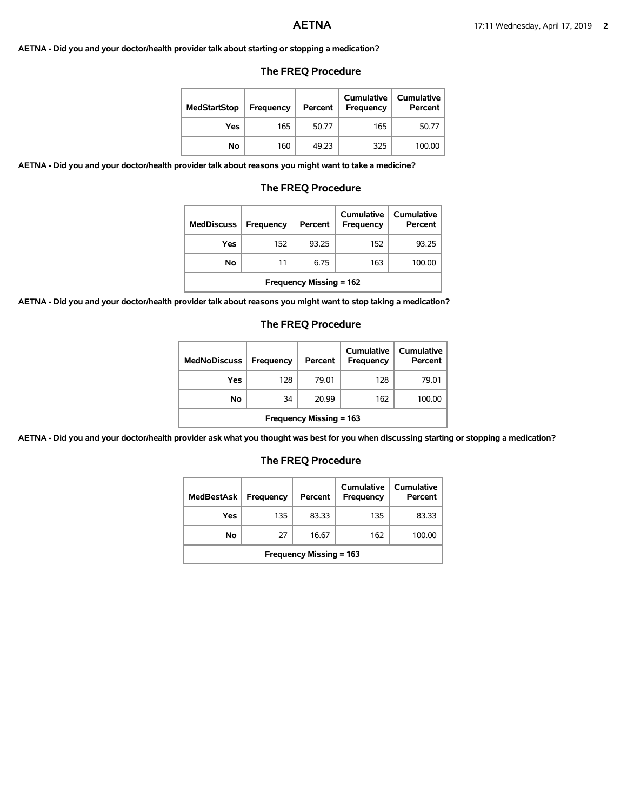**AETNA - Did you and your doctor/health provider talk about starting or stopping a medication?**

#### **The FREQ Procedure**

| <b>MedStartStop</b> | Frequency | Percent | <b>Cumulative</b><br>Frequency | <b>Cumulative</b><br>Percent |
|---------------------|-----------|---------|--------------------------------|------------------------------|
| Yes                 | 165       | 50.77   | 165                            | 50.77                        |
| No.                 | 160       | 49.23   | 325                            | 100.00                       |

**AETNA - Did you and your doctor/health provider talk about reasons you might want to take a medicine?**

#### **The FREQ Procedure**

| <b>MedDiscuss</b>             | Frequency | Percent | <b>Cumulative</b><br>Frequency | <b>Cumulative</b><br>Percent |
|-------------------------------|-----------|---------|--------------------------------|------------------------------|
| Yes                           | 152       | 93.25   | 152                            | 93.25                        |
| No                            | 11        | 6.75    | 163                            | 100.00                       |
| Evanuaria eta Minetro eta ACO |           |         |                                |                              |

**Frequency Missing = 162**

**AETNA - Did you and your doctor/health provider talk about reasons you might want to stop taking a medication?**

#### **The FREQ Procedure**

| <b>MedNoDiscuss</b>            | <b>Frequency</b> | Percent | <b>Cumulative</b><br>Frequency | Cumulative<br>Percent |
|--------------------------------|------------------|---------|--------------------------------|-----------------------|
| Yes                            | 128              | 79.01   | 128                            | 79.01                 |
| No                             | 34               | 20.99   | 162                            | 100.00                |
| <b>Frequency Missing = 163</b> |                  |         |                                |                       |

**AETNA - Did you and your doctor/health provider ask what you thought was best for you when discussing starting or stopping a medication?**

| <b>MedBestAsk</b>              | <b>Frequency</b> | Percent | Cumulative<br><b>Frequency</b> | Cumulative<br>Percent |
|--------------------------------|------------------|---------|--------------------------------|-----------------------|
| Yes                            | 135              | 83.33   | 135                            | 83.33                 |
| No                             | 27               | 16.67   | 162                            | 100.00                |
| <b>Frequency Missing = 163</b> |                  |         |                                |                       |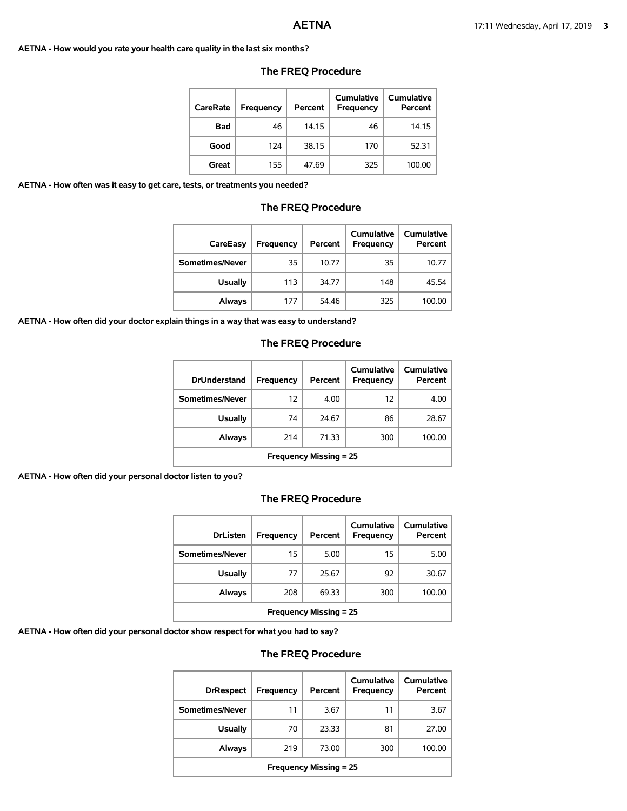**AETNA - How would you rate your health care quality in the last six months?**

| <b>CareRate</b> | Frequency | Percent | Cumulative<br>Frequency | Cumulative<br>Percent |
|-----------------|-----------|---------|-------------------------|-----------------------|
| <b>Bad</b>      | 46        | 14.15   | 46                      | 14.15                 |
| Good            | 124       | 38.15   | 170                     | 52.31                 |
| Great           | 155       | 47.69   | 325                     | 100.00                |

#### **The FREQ Procedure**

**AETNA - How often was it easy to get care, tests, or treatments you needed?**

#### **The FREQ Procedure**

| CareEasy        | Frequency | Percent | Cumulative<br><b>Frequency</b> | <b>Cumulative</b><br>Percent |
|-----------------|-----------|---------|--------------------------------|------------------------------|
| Sometimes/Never | 35        | 10.77   | 35                             | 10.77                        |
| <b>Usually</b>  | 113       | 34.77   | 148                            | 45.54                        |
| Always          | 177       | 54.46   | 325                            | 100.00                       |

**AETNA - How often did your doctor explain things in a way that was easy to understand?**

# **The FREQ Procedure**

| <b>DrUnderstand</b>           | Frequency | Percent | Cumulative<br>Frequency | Cumulative<br>Percent |
|-------------------------------|-----------|---------|-------------------------|-----------------------|
| Sometimes/Never               | 12        | 4.00    | 12                      | 4.00                  |
| <b>Usually</b>                | 74        | 24.67   | 86                      | 28.67                 |
| Always                        | 214       | 71.33   | 300                     | 100.00                |
| <b>Frequency Missing = 25</b> |           |         |                         |                       |

**AETNA - How often did your personal doctor listen to you?**

### **The FREQ Procedure**

| <b>DrListen</b>               | Frequency | Percent | Cumulative<br>Frequency | <b>Cumulative</b><br>Percent |
|-------------------------------|-----------|---------|-------------------------|------------------------------|
| Sometimes/Never               | 15        | 5.00    | 15                      | 5.00                         |
| <b>Usually</b>                | 77        | 25.67   | 92                      | 30.67                        |
| Always                        | 208       | 69.33   | 300                     | 100.00                       |
| <b>Frequency Missing = 25</b> |           |         |                         |                              |

**AETNA - How often did your personal doctor show respect for what you had to say?**

| <b>DrRespect</b>              | <b>Frequency</b> | Percent | Cumulative<br>Frequency | Cumulative<br>Percent |  |
|-------------------------------|------------------|---------|-------------------------|-----------------------|--|
| Sometimes/Never               | 11               | 3.67    | 11                      | 3.67                  |  |
| <b>Usually</b>                | 70               | 23.33   | 81                      | 27.00                 |  |
| Always                        | 219              | 73.00   | 300                     | 100.00                |  |
| <b>Frequency Missing = 25</b> |                  |         |                         |                       |  |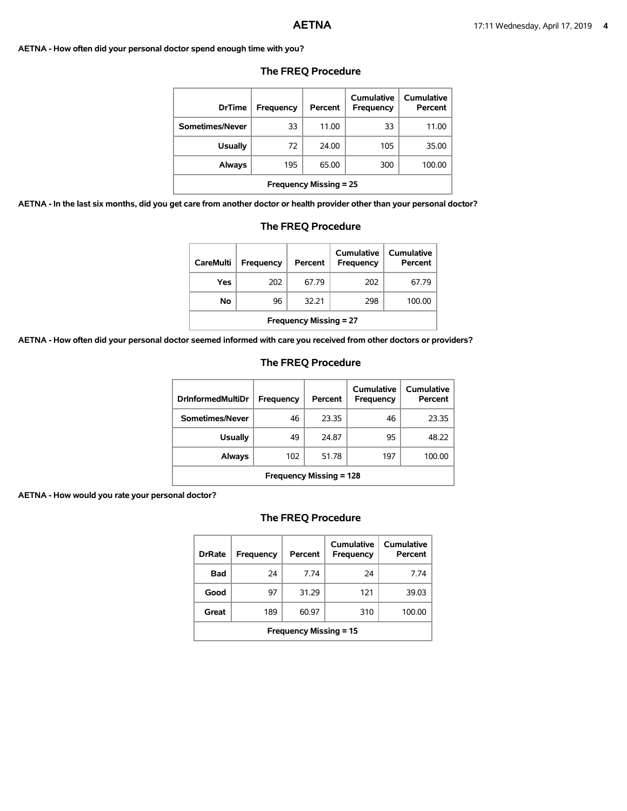#### **AETNA - How often did your personal doctor spend enough time with you?**

| <b>DrTime</b>                 | Frequency | Percent | Cumulative<br><b>Frequency</b> | Cumulative<br>Percent |  |
|-------------------------------|-----------|---------|--------------------------------|-----------------------|--|
| Sometimes/Never               | 33        | 11.00   | 33                             | 11.00                 |  |
| <b>Usually</b>                | 72        | 24.00   | 105                            | 35.00                 |  |
| Always                        | 195       | 65.00   | 300                            | 100.00                |  |
| <b>Frequency Missing = 25</b> |           |         |                                |                       |  |

#### **The FREQ Procedure**

**AETNA - In the last six months, did you get care from another doctor or health provider other than your personal doctor?**

| care from another doctor or health provider other than your personal |     |       |     |        |  |
|----------------------------------------------------------------------|-----|-------|-----|--------|--|
| <b>Frequency Missing = 25</b>                                        |     |       |     |        |  |
| Always                                                               | 195 | 65.00 | 300 | 100.00 |  |
| <b>Usually</b>                                                       | 72  | 24.00 | 105 | 35.00  |  |
| Sometimes/Never                                                      | 33  | 11.00 | 33  | 11.00  |  |
|                                                                      |     |       |     |        |  |

# **The FREQ Procedure**

| <b>CareMulti</b>              | Frequency | Percent | Cumulative<br><b>Frequency</b> | Cumulative<br>Percent |  |
|-------------------------------|-----------|---------|--------------------------------|-----------------------|--|
| Yes                           | 202       | 67.79   | 202                            | 67.79                 |  |
| No                            | 96        | 32.21   | 298                            | 100.00                |  |
| <b>Frequency Missing = 27</b> |           |         |                                |                       |  |

**AETNA - How often did your personal doctor seemed informed with care you received from other doctors or providers?**

## **The FREQ Procedure**

| <b>DrinformedMultiDr</b>       | Frequency | Percent | Cumulative<br>Frequency | Cumulative<br>Percent |  |
|--------------------------------|-----------|---------|-------------------------|-----------------------|--|
| Sometimes/Never                | 46        | 23.35   | 46                      | 23.35                 |  |
| Usually                        | 49        | 24.87   | 95                      | 48.22                 |  |
| Always                         | 102       | 51.78   | 197                     | 100.00                |  |
| <b>Frequency Missing = 128</b> |           |         |                         |                       |  |

**AETNA - How would you rate your personal doctor?**

| <b>DrRate</b>                 | <b>Frequency</b> | Percent | Cumulative<br>Frequency | Cumulative<br>Percent |  |
|-------------------------------|------------------|---------|-------------------------|-----------------------|--|
| Bad                           | 24               | 774     | 24                      | 7 74                  |  |
| Good                          | 97               | 31.29   | 121                     | 39.03                 |  |
| Great                         | 189              | 60.97   | 310                     | 100.00                |  |
| <b>Frequency Missing = 15</b> |                  |         |                         |                       |  |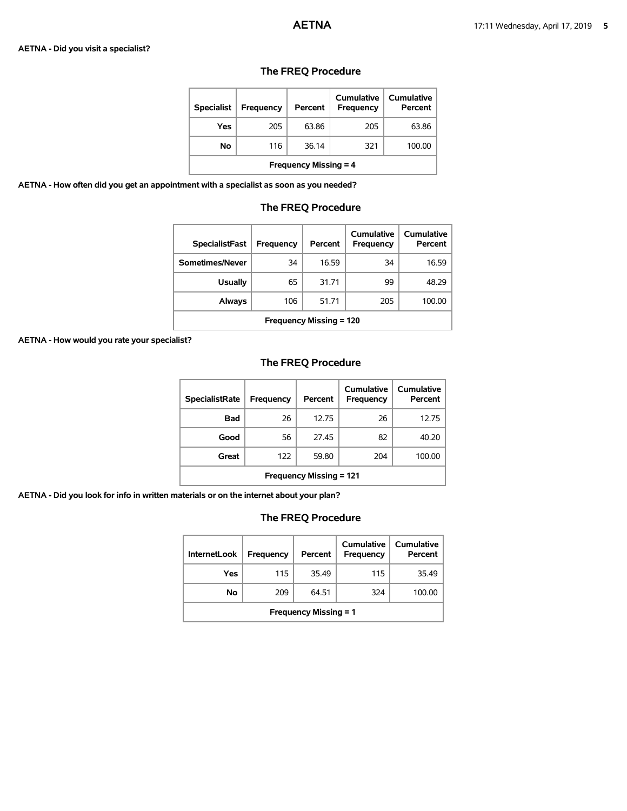#### **AETNA - Did you visit a specialist?**

| <b>Specialist</b>            | <b>Frequency</b> | Percent | Cumulative<br><b>Frequency</b> | Cumulative<br>Percent |  |
|------------------------------|------------------|---------|--------------------------------|-----------------------|--|
| Yes                          | 205              | 63.86   | 205                            | 63.86                 |  |
| No                           | 116              | 36.14   | 321                            | 100.00                |  |
| <b>Frequency Missing = 4</b> |                  |         |                                |                       |  |

# **The FREQ Procedure**

**AETNA - How often did you get an appointment with a specialist as soon as you needed?**

# **The FREQ Procedure**

| <b>SpecialistFast</b>          | Frequency | Percent | Cumulative<br>Frequency | Cumulative<br>Percent |  |
|--------------------------------|-----------|---------|-------------------------|-----------------------|--|
| Sometimes/Never                | 34        | 16.59   | 34                      | 16.59                 |  |
| <b>Usually</b>                 | 65        | 31.71   | 99                      | 48.29                 |  |
| Always                         | 106       | 51.71   | 205                     | 100.00                |  |
| <b>Frequency Missing = 120</b> |           |         |                         |                       |  |

**AETNA - How would you rate your specialist?**

# **The FREQ Procedure**

| <b>SpecialistRate</b>          | <b>Frequency</b> | Percent | Cumulative<br>Frequency | Cumulative<br>Percent |  |
|--------------------------------|------------------|---------|-------------------------|-----------------------|--|
| <b>Bad</b>                     | 26               | 12.75   | 26                      | 12.75                 |  |
| Good                           | 56               | 27.45   | 82                      | 40.20                 |  |
| Great                          | 122              | 59.80   | 204                     | 100.00                |  |
| <b>Frequency Missing = 121</b> |                  |         |                         |                       |  |

**AETNA - Did you look for info in written materials or on the internet about your plan?**

| <b>InternetLook</b>          | Frequency | Percent | Cumulative<br>Frequency | Cumulative<br>Percent |  |
|------------------------------|-----------|---------|-------------------------|-----------------------|--|
| Yes                          | 115       | 35.49   | 115                     | 35.49                 |  |
| No                           | 209       | 64.51   | 324                     | 100.00                |  |
| <b>Frequency Missing = 1</b> |           |         |                         |                       |  |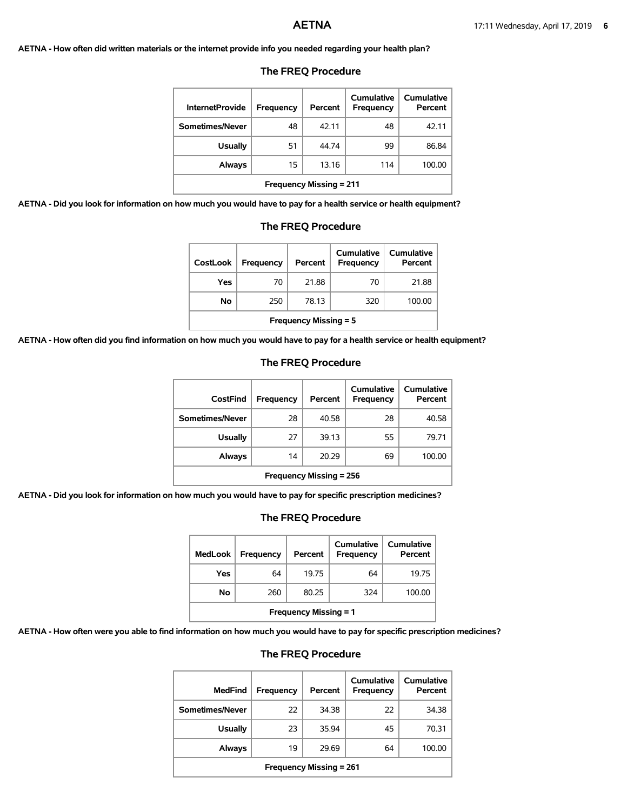#### **AETNA - How often did written materials or the internet provide info you needed regarding your health plan?**

| <b>InternetProvide</b>         | Frequency | Percent | Cumulative<br><b>Frequency</b> | Cumulative<br>Percent |  |
|--------------------------------|-----------|---------|--------------------------------|-----------------------|--|
| Sometimes/Never                | 48        | 42.11   | 48                             | 42.11                 |  |
| <b>Usually</b>                 | 51        | 44.74   | 99                             | 86.84                 |  |
| Always                         | 15        | 13.16   | 114                            | 100.00                |  |
| <b>Frequency Missing = 211</b> |           |         |                                |                       |  |

#### **The FREQ Procedure**

**AETNA - Did you look for information on how much you would have to pay for a health service or health equipment?**

| <b>Usually</b>                                                      | 51 | 44.74 | 99  | 86.84  |  |  |
|---------------------------------------------------------------------|----|-------|-----|--------|--|--|
| <b>Always</b>                                                       | 15 | 13.16 | 114 | 100.00 |  |  |
| <b>Frequency Missing = 211</b>                                      |    |       |     |        |  |  |
| w much you would have to pay for a health service or health equipme |    |       |     |        |  |  |
| <b>The FREQ Procedure</b>                                           |    |       |     |        |  |  |

| <b>CostLook</b>              | Frequency | Percent | Cumulative<br>Frequency | Cumulative<br>Percent |  |
|------------------------------|-----------|---------|-------------------------|-----------------------|--|
| Yes                          | 70        | 21.88   | 70                      | 21.88                 |  |
| Νo                           | 250       | 78.13   | 320                     | 100.00                |  |
| <b>Frequency Missing = 5</b> |           |         |                         |                       |  |

**AETNA - How often did you find information on how much you would have to pay for a health service or health equipment?**

# **CostFind Frequency Percent Cumulative Frequency Cumulative Percent Sometimes/Never** 28 40.58 28 28 40.58 **Usually** 27 39.13 55 79.71 **Always** 14 20.29 69 100.00 **Frequency Missing = 256**

**AETNA - Did you look for information on how much you would have to pay for specific prescription medicines?**

# **The FREQ Procedure**

| <b>MedLook</b>               | <b>Frequency</b> | Percent | Cumulative<br>Frequency | Cumulative<br>Percent |  |
|------------------------------|------------------|---------|-------------------------|-----------------------|--|
| Yes                          | 64               | 19.75   | 64                      | 19.75                 |  |
| Νo                           | 260              | 80.25   | 324                     | 100.00                |  |
| <b>Frequency Missing = 1</b> |                  |         |                         |                       |  |

**AETNA - How often were you able to find information on how much you would have to pay for specific prescription medicines?**

# **The FREQ Procedure**

| <b>MedFind</b>                 | <b>Frequency</b> | Percent | Cumulative<br><b>Frequency</b> | Cumulative<br>Percent |  |
|--------------------------------|------------------|---------|--------------------------------|-----------------------|--|
| Sometimes/Never                | 22               | 34.38   | 22                             | 34.38                 |  |
| <b>Usually</b>                 | 23               | 35.94   | 45                             | 70.31                 |  |
| Always                         | 19               | 29.69   | 64                             | 100.00                |  |
| <b>Frequency Missing = 261</b> |                  |         |                                |                       |  |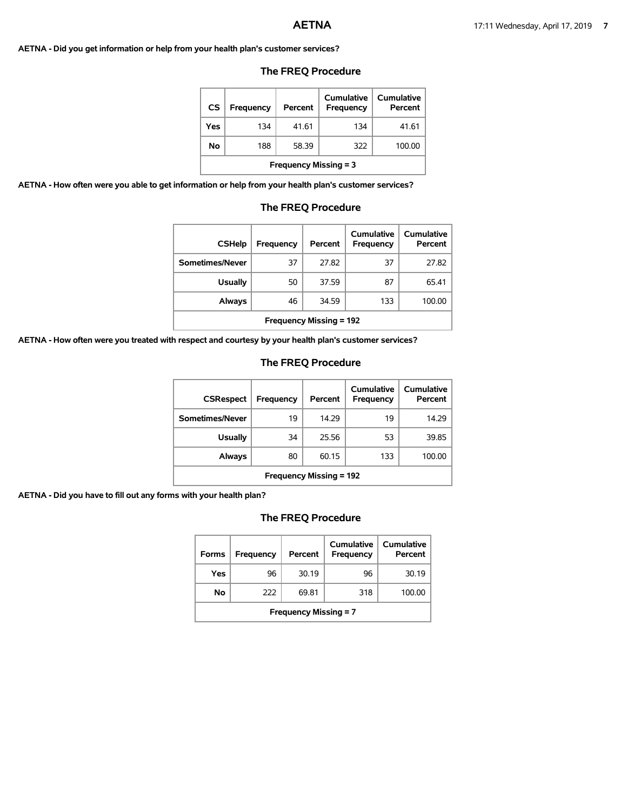**AETNA - Did you get information or help from your health plan's customer services?**

### **The FREQ Procedure**

| CS                           | <b>Frequency</b> | Percent | Cumulative<br>Frequency | Cumulative<br>Percent |  |
|------------------------------|------------------|---------|-------------------------|-----------------------|--|
| Yes                          | 134              | 41.61   | 134                     | 41.61                 |  |
| Νo                           | 188              | 58.39   | 322                     | 100.00                |  |
| <b>Frequency Missing = 3</b> |                  |         |                         |                       |  |

**AETNA - How often were you able to get information or help from your health plan's customer services?**

### **The FREQ Procedure**

| <b>CSHelp</b>                  | Frequency | Percent | Cumulative<br><b>Frequency</b> | Cumulative<br>Percent |  |
|--------------------------------|-----------|---------|--------------------------------|-----------------------|--|
| Sometimes/Never                | 37        | 27.82   | 37                             | 27.82                 |  |
| <b>Usually</b>                 | 50        | 37.59   | 87                             | 65.41                 |  |
| <b>Always</b>                  | 46        | 34.59   | 133                            | 100.00                |  |
| <b>Frequency Missing = 192</b> |           |         |                                |                       |  |

**AETNA - How often were you treated with respect and courtesy by your health plan's customer services?**

#### **The FREQ Procedure**

| <b>CSRespect</b>               | Frequency | Percent | Cumulative<br>Frequency | Cumulative<br>Percent |  |
|--------------------------------|-----------|---------|-------------------------|-----------------------|--|
| Sometimes/Never                | 19        | 14.29   | 19                      | 14.29                 |  |
| <b>Usually</b>                 | 34        | 25.56   | 53                      | 39.85                 |  |
| Always                         | 80        | 60.15   | 133                     | 100.00                |  |
| <b>Frequency Missing = 192</b> |           |         |                         |                       |  |

**AETNA - Did you have to fill out any forms with your health plan?**

| <b>Forms</b>                 | Frequency | Percent | Cumulative<br>Frequency | Cumulative<br>Percent |
|------------------------------|-----------|---------|-------------------------|-----------------------|
| Yes                          | 96        | 30.19   | 96                      | 30.19                 |
| No                           | 222       | 69.81   | 318                     | 100.00                |
| <b>Frequency Missing = 7</b> |           |         |                         |                       |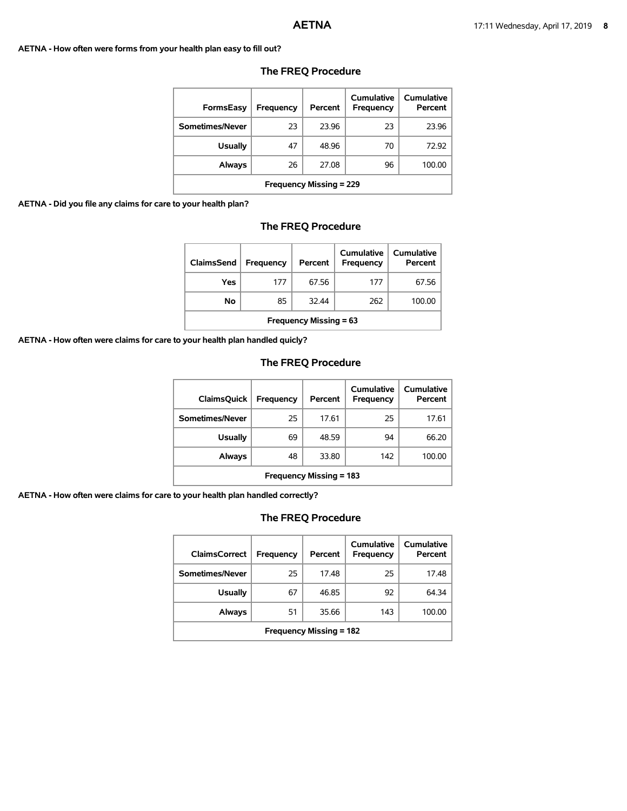#### **AETNA - How often were forms from your health plan easy to fill out?**

| <b>FormsEasy</b>               | Frequency | Percent | Cumulative<br><b>Frequency</b> | <b>Cumulative</b><br>Percent |
|--------------------------------|-----------|---------|--------------------------------|------------------------------|
| Sometimes/Never                | 23        | 23.96   | 23                             | 23.96                        |
| <b>Usually</b>                 | 47        | 48.96   | 70                             | 72.92                        |
| Always                         | 26        | 27.08   | 96                             | 100.00                       |
| <b>Frequency Missing = 229</b> |           |         |                                |                              |

# **The FREQ Procedure**

#### **AETNA - Did you file any claims for care to your health plan?**

# **The FREQ Procedure**

| ClaimsSend                    | <b>Frequency</b> | Percent | <b>Cumulative</b><br>Frequency | Cumulative<br>Percent |  |
|-------------------------------|------------------|---------|--------------------------------|-----------------------|--|
| Yes                           | 177              | 67.56   | 177                            | 67.56                 |  |
| No                            | 85               | 32.44   | 262                            | 100.00                |  |
| <b>Frequency Missing = 63</b> |                  |         |                                |                       |  |

**AETNA - How often were claims for care to your health plan handled quicly?**

# **The FREQ Procedure**

| <b>ClaimsQuick</b>             | Frequency | Percent | Cumulative<br>Frequency | Cumulative<br>Percent |  |
|--------------------------------|-----------|---------|-------------------------|-----------------------|--|
| Sometimes/Never                | 25        | 17.61   | 25                      | 17.61                 |  |
| <b>Usually</b>                 | 69        | 48.59   | 94                      | 66.20                 |  |
| Always                         | 48        | 33.80   | 142                     | 100.00                |  |
| <b>Frequency Missing = 183</b> |           |         |                         |                       |  |

**AETNA - How often were claims for care to your health plan handled correctly?**

| <b>ClaimsCorrect</b>           | Frequency | Percent | Cumulative<br>Frequency | Cumulative<br>Percent |  |
|--------------------------------|-----------|---------|-------------------------|-----------------------|--|
| Sometimes/Never                | 25        | 17.48   | 25                      | 17.48                 |  |
| <b>Usually</b>                 | 67        | 46.85   | 92                      | 64.34                 |  |
| Always                         | 51        | 35.66   | 143                     | 100.00                |  |
| <b>Frequency Missing = 182</b> |           |         |                         |                       |  |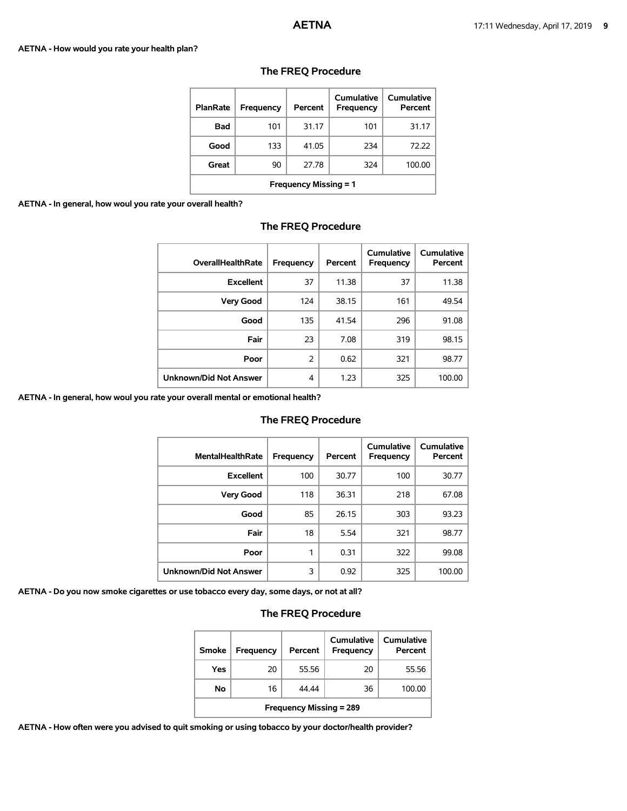#### **AETNA - How would you rate your health plan?**

| <b>PlanRate</b>              | Frequency | Percent | Cumulative<br>Frequency | Cumulative<br>Percent |
|------------------------------|-----------|---------|-------------------------|-----------------------|
| Bad                          | 101       | 31.17   | 101                     | 31.17                 |
| Good                         | 133       | 41.05   | 234                     | 72.22                 |
| Great                        | 90        | 27.78   | 324                     | 100.00                |
| <b>Frequency Missing = 1</b> |           |         |                         |                       |

# **The FREQ Procedure**

**AETNA - In general, how woul you rate your overall health?**

| <b>OverallHealthRate</b>      | Frequency | Percent | Cumulative<br>Frequency | <b>Cumulative</b><br>Percent |
|-------------------------------|-----------|---------|-------------------------|------------------------------|
| <b>Excellent</b>              | 37        | 11.38   | 37                      | 11.38                        |
| <b>Very Good</b>              | 124       | 38.15   | 161                     | 49.54                        |
| Good                          | 135       | 41.54   | 296                     | 91.08                        |
| Fair                          | 23        | 7.08    | 319                     | 98.15                        |
| Poor                          | 2         | 0.62    | 321                     | 98.77                        |
| <b>Unknown/Did Not Answer</b> | 4         | 1.23    | 325                     | 100.00                       |

### **The FREQ Procedure**

**AETNA - In general, how woul you rate your overall mental or emotional health?**

#### **The FREQ Procedure**

| <b>MentalHealthRate</b>       | Frequency | Percent | Cumulative<br>Frequency | Cumulative<br>Percent |
|-------------------------------|-----------|---------|-------------------------|-----------------------|
| <b>Excellent</b>              | 100       | 30.77   | 100                     | 30.77                 |
| <b>Very Good</b>              | 118       | 36.31   | 218                     | 67.08                 |
| Good                          | 85        | 26.15   | 303                     | 93.23                 |
| Fair                          | 18        | 5.54    | 321                     | 98.77                 |
| Poor                          | 1         | 0.31    | 322                     | 99.08                 |
| <b>Unknown/Did Not Answer</b> | 3         | 0.92    | 325                     | 100.00                |

**AETNA - Do you now smoke cigarettes or use tobacco every day, some days, or not at all?**

# **The FREQ Procedure**

| Smoke                          | <b>Frequency</b> | Percent | Cumulative<br>Frequency | Cumulative<br>Percent |  |
|--------------------------------|------------------|---------|-------------------------|-----------------------|--|
| Yes                            | 20               | 55.56   | 20                      | 55.56                 |  |
| No                             | 16               | 44.44   | 36                      | 100.00                |  |
| <b>Frequency Missing = 289</b> |                  |         |                         |                       |  |

**AETNA - How often were you advised to quit smoking or using tobacco by your doctor/health provider?**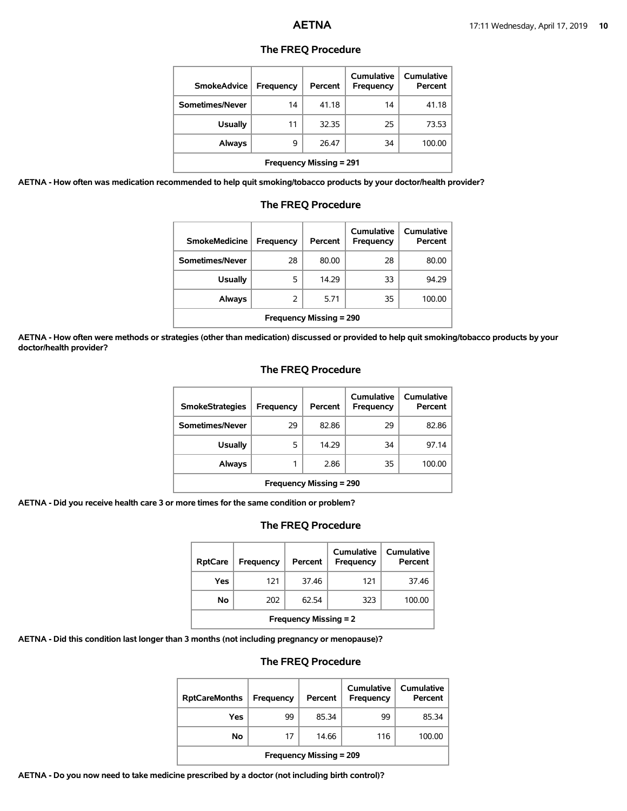| <b>SmokeAdvice</b>             | <b>Frequency</b> | Percent | Cumulative<br><b>Frequency</b> | Cumulative<br>Percent |  |
|--------------------------------|------------------|---------|--------------------------------|-----------------------|--|
| Sometimes/Never                | 14               | 41.18   | 14                             | 41.18                 |  |
| <b>Usually</b>                 | 11               | 32.35   | 25                             | 73.53                 |  |
| Always                         | 9                | 26.47   | 34                             | 100.00                |  |
| <b>Frequency Missing = 291</b> |                  |         |                                |                       |  |

#### **The FREQ Procedure**

**AETNA - How often was medication recommended to help quit smoking/tobacco products by your doctor/health provider?**

| <b>SmokeMedicine</b>           | Frequency | Percent | Cumulative<br>Frequency | Cumulative<br>Percent |  |
|--------------------------------|-----------|---------|-------------------------|-----------------------|--|
| Sometimes/Never                | 28        | 80.00   | 28                      | 80.00                 |  |
| <b>Usually</b>                 | 5         | 14.29   | 33                      | 94.29                 |  |
| Always                         | 2         | 5.71    | 35                      | 100.00                |  |
| <b>Frequency Missing = 290</b> |           |         |                         |                       |  |

## **The FREQ Procedure**

**AETNA - How often were methods or strategies (other than medication) discussed or provided to help quit smoking/tobacco products by your doctor/health provider?**

#### **The FREQ Procedure**

| <b>SmokeStrategies</b>         | Frequency | Percent | Cumulative<br>Frequency | Cumulative<br>Percent |  |
|--------------------------------|-----------|---------|-------------------------|-----------------------|--|
| Sometimes/Never                | 29        | 82.86   | 29                      | 82.86                 |  |
| <b>Usually</b>                 | 5         | 14.29   | 34                      | 97.14                 |  |
| Always                         |           | 2.86    | 35                      | 100.00                |  |
| <b>Frequency Missing = 290</b> |           |         |                         |                       |  |

**AETNA - Did you receive health care 3 or more times for the same condition or problem?**

#### **The FREQ Procedure**

| <b>RptCare</b>               | Frequency | Percent | Cumulative<br>Frequency | Cumulative<br>Percent |  |
|------------------------------|-----------|---------|-------------------------|-----------------------|--|
| Yes                          | 121       | 37.46   | 121                     | 37.46                 |  |
| No                           | 202       | 62.54   | 323                     | 100.00                |  |
| <b>Frequency Missing = 2</b> |           |         |                         |                       |  |

**AETNA - Did this condition last longer than 3 months (not including pregnancy or menopause)?**

#### **The FREQ Procedure**

| <b>RptCareMonths</b>           | Frequency | Percent | Cumulative<br>Frequency | Cumulative<br>Percent |  |
|--------------------------------|-----------|---------|-------------------------|-----------------------|--|
| Yes                            | 99        | 85.34   | 99                      | 85.34                 |  |
| No                             | 17        | 14.66   | 116                     | 100.00                |  |
| <b>Frequency Missing = 209</b> |           |         |                         |                       |  |

**AETNA - Do you now need to take medicine prescribed by a doctor (not including birth control)?**